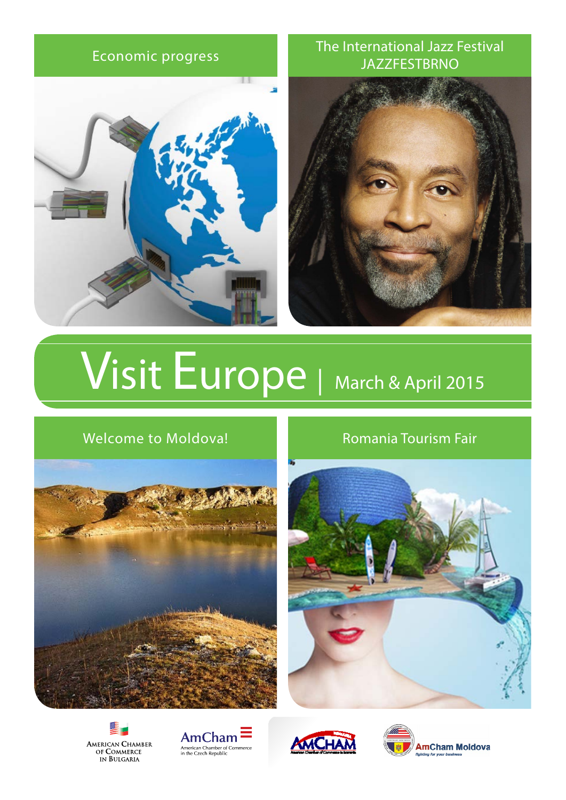

### [Economic progress](http://www.basscom.org/) [The International Jazz Festival](http://www.ct.lviv.ua/en/calendar/coffe-lviv/#.U-I0GfmSySo)  **JAZZFESTBRNO**



# Visit Europe [| March & April 2015](www.jazzfestbrno.cz/en)

### [Welcome to Moldova!](http://www.moldovawineday.md) [Romania Tourism Fair](http://www.targuldeturism.ro/home)











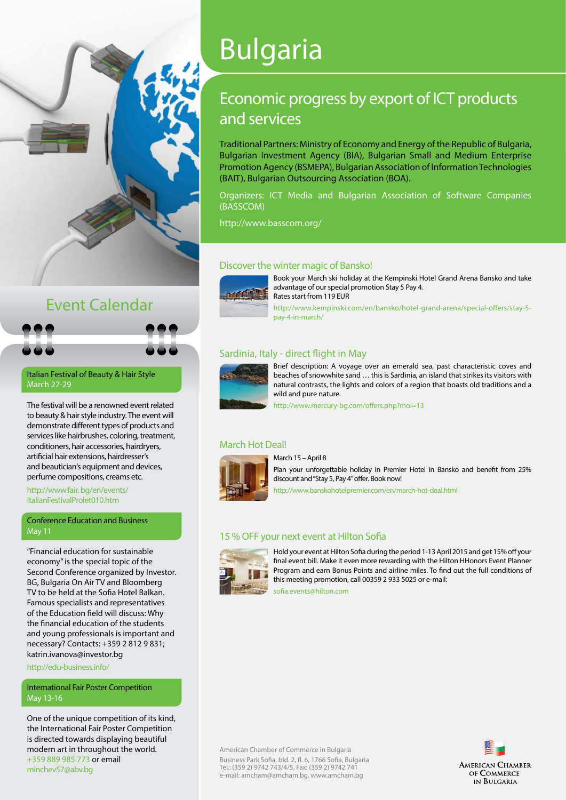

## Event Calendar

[Italian Festival of Beauty & Hair Style](http://www.fair. bg/en/events/ItalianFestivalProlet010.htm)  March 27-29

The festival will be a renowned event related to beauty & hair style industry. The event will demonstrate different types of products and services like hairbrushes, coloring, treatment, conditioners, hair accessories, hairdryers, artificial hair extensions, hairdresser's and beautician's equipment and devices, perfume compositions, creams etc.

[http://www.fair. bg/en/events/](http://www.fair.bg/en/events/ItalianFestivalProlet010.htm) [ItalianFestivalProlet010.htm](http://www.fair.bg/en/events/ItalianFestivalProlet010.htm)

[Conference Education and Business](http://edu-business.info/) May 11

"Financial education for sustainable economy" is the special topic of the Second Conference organized by [Investor.](Investor.BG) [BG](Investor.BG), Bulgaria On Air TV and Bloomberg TV to be held at the Sofia Hotel Balkan. Famous specialists and representatives of the Education field will discuss: Why the financial education of the students and young professionals is important and necessary? Contacts: +359 2 812 9 831; [katrin.ivanova@investor.bg](mailto:katrin.ivanova@investor.bg)

<http://edu-business.info/>

#### [International Fair Poster Competition](mailto:minchev57@abv.bg) [May 13-16](mailto:minchev57@abv.bg)

One of the unique competition of its kind, the International Fair Poster Competition is directed towards displaying beautiful modern art in throughout the world. +359 889 985 773 or email [minchev57@abv.bg](mailto:minchev57@abv.bg)

# Bulgaria

### [Economic progress by export of ICT products](http://www.kempinski.com/en/bansko/hotel-grand-arena/special-offers/stay-5-pay-4-in-march/)  [and services](http://www.kempinski.com/en/bansko/hotel-grand-arena/special-offers/stay-5-pay-4-in-march/)

Traditional Partners: Ministry of Economy and Energy of the Republic of Bulgaria, Bulgarian Investment Agency (BIA), Bulgarian Small and Medium Enterprise Promotion Agency (BSMEPA), Bulgarian Association of Information Technologies (BAIT), Bulgarian Outsourcing Association (BOA).

Organizers: ICT Media and Bulgarian Association of Software Companies (BASSCOM)

<http://www.basscom.org/>

#### [Discover the winter magic of Bansko!](http://www.kempinski.com/en/bansko/hotel-grand-arena/special-offers/stay-5-pay-4-in-march/)



Book your March ski holiday at the Kempinski Hotel Grand Arena Bansko and take advantage of our special promotion Stay 5 Pay 4. Rates start from 119 EUR

[http://www.kempinski.com/en/bansko/hotel-grand-arena/special-offers/stay-5](http://www.kempinski.com/en/bansko/hotel-grand-arena/special-offers/stay-5-pay-4-in-march/) [pay-4-in-march/](http://www.kempinski.com/en/bansko/hotel-grand-arena/special-offers/stay-5-pay-4-in-march/)

#### [Sardinia, Italy - direct flight in May](http://www.mercury-bg.com/offers.php?moi=13)



Brief description: A voyage over an emerald sea, past characteristic coves and beaches of snowwhite sand … this is Sardinia, an island that strikes its visitors with natural contrasts, the lights and colors of a region that boasts old traditions and a wild and pure nature.

<http://www.mercury-bg.com/offers.php?moi=13>

#### [March Hot Deal!](http://www.banskohotelpremier.com/en/march-hot-deal.html)



Plan your unforgettable holiday in Premier Hotel in Bansko and benefit from 25% discount and "Stay 5, Pay 4" offer. Book now!

<http://www.banskohotelpremier.com/en/march-hot-deal.html>

#### [15 % OFF your next event at Hilton Sofia](mailto:sofia.events@hilton.com)

March 15 – April 8



Hold your event at Hilton Sofia during the period 1-13 April 2015 and get 15% off your final event bill. Make it even more rewarding with the Hilton HHonors Event Planner Program and earn Bonus Points and airline miles. To find out the full conditions of this meeting promotion, call 00359 2 933 5025 or e-mail:

[sofia.events@hilton.com](mailto:sofia.events@hilton.com)

American Chamber of Commerce in Bulgaria Business Park Sofia, bld. 2, fl. 6, 1766 Sofia, Bulgaria Tel.: (359 2) 9742 743/4/5, Fax: (359 2) 9742 741 e-mail: [amcham@amcham.bg,](mailto:amcham@amcham.bg) <www.amcham.bg>

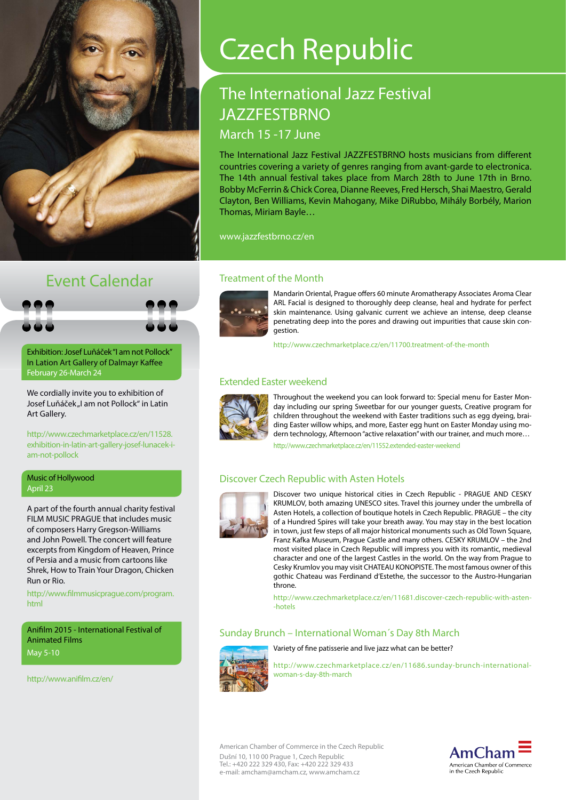

# Czech Republic

# [The International Jazz Festival](www.jazzfestbrno.cz/en) **[JAZZFESTBRNO](www.jazzfestbrno.cz/en)**

#### [March 15 -17 June](www.jazzfestbrno.cz/en)

The International Jazz Festival JAZZFESTBRNO hosts musicians from different countries covering a variety of genres ranging from avant-garde to electronica. The 14th annual festival takes place from March 28th to June 17th in Brno. Bobby McFerrin & Chick Corea, Dianne Reeves, Fred Hersch, Shai Maestro, Gerald Clayton, Ben Williams, Kevin Mahogany, Mike DiRubbo, Mihály Borbély, Marion Thomas, Miriam Bayle…

<www.jazzfestbrno.cz/en>

# Event Calendar [Treatment of the Month](http://www.czechmarketplace.cz/en/11700.treatment-of-the-month)

[Exhibition: Josef Luňáček "I am not Pollock"](http://www.czechmarketplace.cz/en/11528.exhibition-in-latin-art-gallery-josef-lunacek-i-am-not-pollock) [In Lation Art Gallery of Dalmayr Kaffee](http://www.czechmarketplace.cz/en/11528.exhibition-in-latin-art-gallery-josef-lunacek-i-am-not-pollock) [February 26-March 24](http://www.czechmarketplace.cz/en/11528.exhibition-in-latin-art-gallery-josef-lunacek-i-am-not-pollock)

We cordially invite you to exhibition of Josef Luňáček "I am not Pollock" in Latin Art Gallery.

[http://www.czechmarketplace.cz/en/11528.](http://www.czechmarketplace.cz/en/11528.exhibition-in-latin-art-gallery-josef-lunacek-i-am-not-pollock) [exhibition-in-latin-art-gallery-josef-lunacek-i](http://www.czechmarketplace.cz/en/11528.exhibition-in-latin-art-gallery-josef-lunacek-i-am-not-pollock)[am-not-pollock](http://www.czechmarketplace.cz/en/11528.exhibition-in-latin-art-gallery-josef-lunacek-i-am-not-pollock)

#### [Music of Hollywood](http://www.filmmusicprague.com/program.html) April 23

A part of the fourth annual charity festival FILM MUSIC PRAGUE that includes music of composers Harry Gregson-Williams and John Powell. The concert will feature excerpts from Kingdom of Heaven, Prince of Persia and a music from cartoons like Shrek, How to Train Your Dragon, Chicken Run or Rio.

[http://www.filmmusicprague.com/program.](http://www.filmmusicprague.com/program.html) [html](http://www.filmmusicprague.com/program.html)

[Anifilm 2015 - International Festival of](http://www.anifilm.cz/en/)  [Animated Films](http://www.anifilm.cz/en/) [May 5-10](http://www.anifilm.cz/en/)

<http://www.anifilm.cz/en/>



Mandarin Oriental, Prague offers 60 minute Aromatherapy Associates Aroma Clear ARL Facial is designed to thoroughly deep cleanse, heal and hydrate for perfect skin maintenance. Using galvanic current we achieve an intense, deep cleanse penetrating deep into the pores and drawing out impurities that cause skin congestion.

<http://www.czechmarketplace.cz/en/11700.treatment-of-the-month>

#### [Extended Easter weekend](http://www.czechmarketplace.cz/en/11552.extended-easter-weekend)



Throughout the weekend you can look forward to: Special menu for Easter Monday including our spring Sweetbar for our younger guests, Creative program for children throughout the weekend with Easter traditions such as egg dyeing, braiding Easter willow whips, and more, Easter egg hunt on Easter Monday using modern technology, Afternoon "active relaxation" with our trainer, and much more…

<http://www.czechmarketplace.cz/en/11552.extended-easter-weekend>

#### [Discover Czech Republic with Asten Hotels](http://www.czechmarketplace.cz/en/11681.discover-czech-republic-with-asten-hotels)



Discover two unique historical cities in Czech Republic - PRAGUE AND CESKY KRUMLOV, both amazing UNESCO sites. Travel this journey under the umbrella of Asten Hotels, a collection of boutique hotels in Czech Republic. PRAGUE – the city of a Hundred Spires will take your breath away. You may stay in the best location in town, just few steps of all major historical monuments such as Old Town Square, Franz Kafka Museum, Prague Castle and many others. CESKY KRUMLOV – the 2nd most visited place in Czech Republic will impress you with its romantic, medieval character and one of the largest Castles in the world. On the way from Prague to Cesky Krumlov you may visit CHATEAU KONOPISTE. The most famous owner of this gothic Chateau was Ferdinand d'Estethe, the successor to the Austro-Hungarian throne.

[http://www.czechmarketplace.cz/en/11681.discover-czech-republic-with-asten-](http://www.czechmarketplace.cz/en/11681.discover-czech-republic-with-asten-hotels) [-hotels](http://www.czechmarketplace.cz/en/11681.discover-czech-republic-with-asten-hotels)

#### [Sunday Brunch – International Woman´s Day 8th March](http://www.czechmarketplace.cz/en/11686.sunday-brunch-international-woman-s-day-8th-march
)



Variety of fine patisserie and live jazz what can be better?

[http://www.czechmarketplace.cz/en/11686.sunday-brunch-international](http://www.czechmarketplace.cz/en/11686.sunday-brunch-international-woman-s-day-8th-march)[woman-s-day-8th-march](http://www.czechmarketplace.cz/en/11686.sunday-brunch-international-woman-s-day-8th-march)

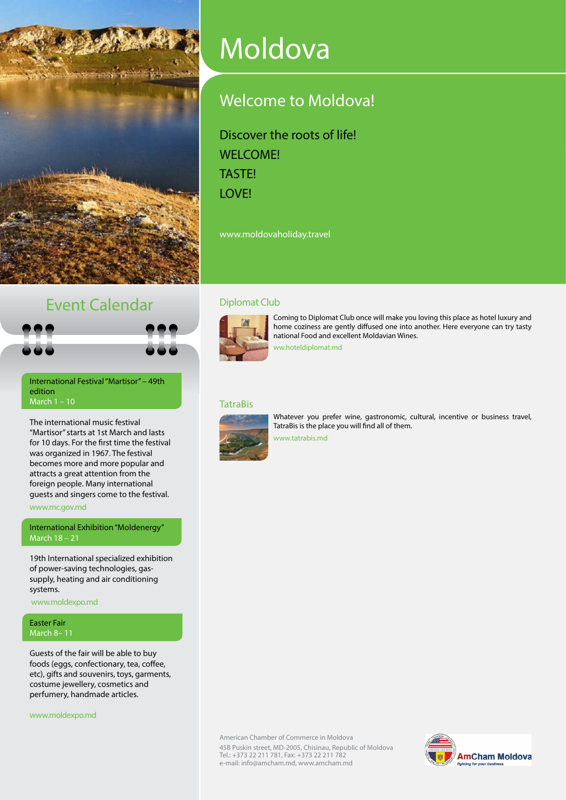

# Moldova

# [Welcome to Moldova!](http://www.moldovaholiday.travel/index.php?lang=en)

Discover the roots of life! WELCOME! TASTE! **LOVE!** 

[www.moldovaholiday.travel](http://www.amcham.md/download.php%3Fpath%3Dhttp://www.moldovaholiday.travel)

### Event Calendar



[International Festival "Martisor" – 49th](http://www.amcham.md/download.php%3Fpath%3Dhttp://www.mc.gov.md/sites/default/files/program_martisor_2015_0.pdf)  [edition](http://www.amcham.md/download.php%3Fpath%3Dhttp://www.mc.gov.md/sites/default/files/program_martisor_2015_0.pdf) [March 1 – 10](http://www.amcham.md/download.php%3Fpath%3Dhttp://www.mc.gov.md/sites/default/files/program_martisor_2015_0.pdf)

The international music festival "Martisor" starts at 1st March and lasts for 10 days. For the first time the festival was organized in 1967. The festival becomes more and more popular and attracts a great attention from the foreign people. Many international guests and singers come to the festival.

[www.mc.gov.md](http://www.amcham.md/download.php%3Fpath%3Dhttp://www.mc.gov.md/sites/default/files/program_martisor_2015_0.pdf)

[International Exhibition "Moldenergy"](http://www.amcham.md/download.php%3Fpath%3Dhttp://en.moldenergy.moldexpo.md/tit%23content) [March 18 – 21](http://www.amcham.md/download.php%3Fpath%3Dhttp://en.moldenergy.moldexpo.md/tit%23content)

19th International specialized exhibition of power-saving technologies, gassupply, heating and air conditioning systems.

 [www.moldexpo.md](http://www.amcham.md/download.php?path=http://en.moldenergy.moldexpo.md/tit#content)

#### [Easter Fair](http://www.amcham.md/download.php%3Fpath%3Dhttp://en.easter.moldexpo.md/tit%23content) [March 8– 11](http://www.amcham.md/download.php%3Fpath%3Dhttp://en.easter.moldexpo.md/tit%23content)

Guests of the fair will be able to buy foods (eggs, confectionary, tea, coffee, etc), gifts and souvenirs, toys, garments, costume jewellery, cosmetics and perfumery, handmade articles.

[www.moldexpo.md](http://www.amcham.md/download.php?path=http://en.easter.moldexpo.md/tit#content)

#### [Diplomat Club](http://www.amcham.md/download.php?path=http://www.diplomat.md)



Coming to Diplomat Club once will make you loving this place as hotel luxury and home coziness are gently diffused one into another. Here everyone can try tasty national Food and excellent Moldavian Wines.

[ww.hoteldiplomat.md](http://www.amcham.md/download.php?path=http://www.diplomat.md)

#### **[TatraBis](http://www.amcham.md/download.php%3Fpath%3Dhttp://www.tatrabis.md)**



Whatever you prefer wine, gastronomic, cultural, incentive or business travel, TatraBis is the place you will find all of them.

[www.tatrabis.md](http://www.amcham.md/download.php%3Fpath%3Dhttp://www.tatrabis.md) 

American Chamber of Commerce in Moldova 45B Puskin street, MD-2005, Chisinau, Republic of Moldova Tel.: +373 22 211 781, Fax: +373 22 211 782 e-mail: [info@amcham.md,](mailto:info@amcham.md) <www.amcham.md>